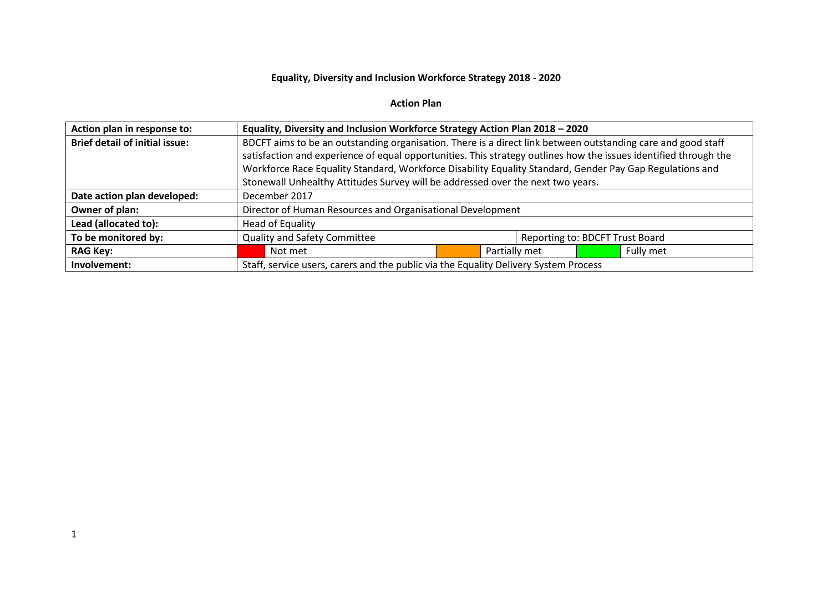## **Equality, Diversity and Inclusion Workforce Strategy 2018 - 2020**

## **Action Plan**

| Action plan in response to:           | Equality, Diversity and Inclusion Workforce Strategy Action Plan 2018 - 2020                                     |  |  |  |  |  |
|---------------------------------------|------------------------------------------------------------------------------------------------------------------|--|--|--|--|--|
| <b>Brief detail of initial issue:</b> | BDCFT aims to be an outstanding organisation. There is a direct link between outstanding care and good staff     |  |  |  |  |  |
|                                       | satisfaction and experience of equal opportunities. This strategy outlines how the issues identified through the |  |  |  |  |  |
|                                       | Workforce Race Equality Standard, Workforce Disability Equality Standard, Gender Pay Gap Regulations and         |  |  |  |  |  |
|                                       | Stonewall Unhealthy Attitudes Survey will be addressed over the next two years.                                  |  |  |  |  |  |
| Date action plan developed:           | December 2017                                                                                                    |  |  |  |  |  |
| Owner of plan:                        | Director of Human Resources and Organisational Development                                                       |  |  |  |  |  |
| Lead (allocated to):                  | Head of Equality                                                                                                 |  |  |  |  |  |
| To be monitored by:                   | <b>Quality and Safety Committee</b><br>Reporting to: BDCFT Trust Board                                           |  |  |  |  |  |
| <b>RAG Key:</b>                       | Fully met<br>Partially met<br>Not met                                                                            |  |  |  |  |  |
| Involvement:                          | Staff, service users, carers and the public via the Equality Delivery System Process                             |  |  |  |  |  |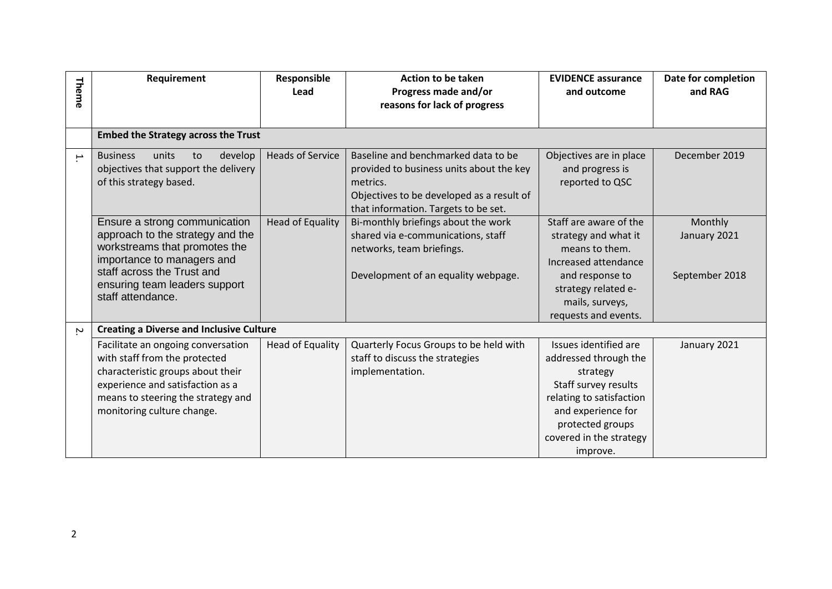| Theme                    | Requirement                                                                                                                                                                                                          | Responsible<br>Lead     | <b>Action to be taken</b><br>Progress made and/or<br>reasons for lack of progress                                                                                                | <b>EVIDENCE assurance</b><br>and outcome                                                                                                                                                        | Date for completion<br>and RAG            |
|--------------------------|----------------------------------------------------------------------------------------------------------------------------------------------------------------------------------------------------------------------|-------------------------|----------------------------------------------------------------------------------------------------------------------------------------------------------------------------------|-------------------------------------------------------------------------------------------------------------------------------------------------------------------------------------------------|-------------------------------------------|
|                          | <b>Embed the Strategy across the Trust</b>                                                                                                                                                                           |                         |                                                                                                                                                                                  |                                                                                                                                                                                                 |                                           |
| $\overline{\phantom{a}}$ | units<br>develop<br><b>Business</b><br>to<br>objectives that support the delivery<br>of this strategy based.                                                                                                         | <b>Heads of Service</b> | Baseline and benchmarked data to be<br>provided to business units about the key<br>metrics.<br>Objectives to be developed as a result of<br>that information. Targets to be set. | Objectives are in place<br>and progress is<br>reported to QSC                                                                                                                                   | December 2019                             |
|                          | Ensure a strong communication<br>approach to the strategy and the<br>workstreams that promotes the<br>importance to managers and<br>staff across the Trust and<br>ensuring team leaders support<br>staff attendance. | <b>Head of Equality</b> | Bi-monthly briefings about the work<br>shared via e-communications, staff<br>networks, team briefings.<br>Development of an equality webpage.                                    | Staff are aware of the<br>strategy and what it<br>means to them.<br>Increased attendance<br>and response to<br>strategy related e-<br>mails, surveys,<br>requests and events.                   | Monthly<br>January 2021<br>September 2018 |
| $\sim$                   | <b>Creating a Diverse and Inclusive Culture</b>                                                                                                                                                                      |                         |                                                                                                                                                                                  |                                                                                                                                                                                                 |                                           |
|                          | Facilitate an ongoing conversation<br>with staff from the protected<br>characteristic groups about their<br>experience and satisfaction as a<br>means to steering the strategy and<br>monitoring culture change.     | <b>Head of Equality</b> | Quarterly Focus Groups to be held with<br>staff to discuss the strategies<br>implementation.                                                                                     | Issues identified are<br>addressed through the<br>strategy<br>Staff survey results<br>relating to satisfaction<br>and experience for<br>protected groups<br>covered in the strategy<br>improve. | January 2021                              |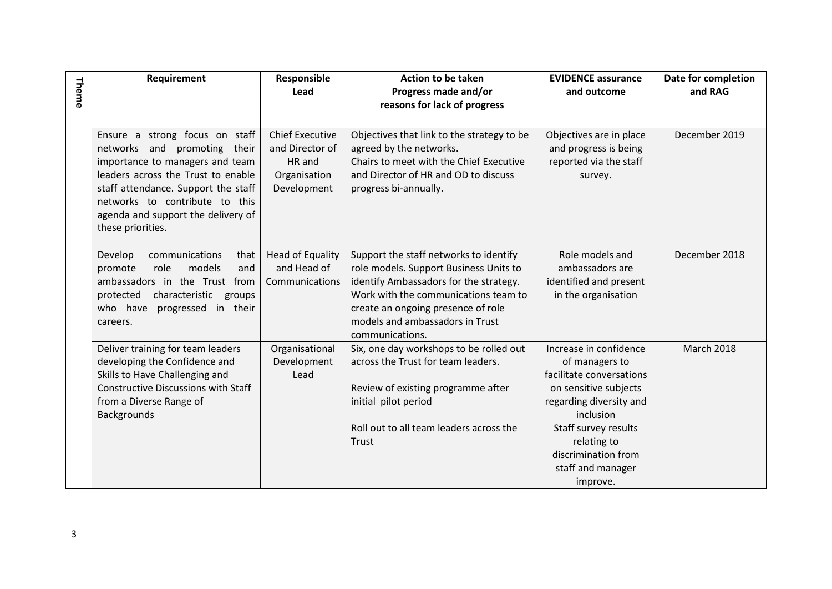| Theme | Requirement                                                                                                                                                                                                                                                                 | Responsible<br>Lead                                                                | <b>Action to be taken</b><br>Progress made and/or<br>reasons for lack of progress                                                                                                                                                                              | <b>EVIDENCE assurance</b><br>and outcome                                                                                                                                                                                             | Date for completion<br>and RAG |
|-------|-----------------------------------------------------------------------------------------------------------------------------------------------------------------------------------------------------------------------------------------------------------------------------|------------------------------------------------------------------------------------|----------------------------------------------------------------------------------------------------------------------------------------------------------------------------------------------------------------------------------------------------------------|--------------------------------------------------------------------------------------------------------------------------------------------------------------------------------------------------------------------------------------|--------------------------------|
|       | Ensure a strong focus on staff<br>networks and promoting their<br>importance to managers and team<br>leaders across the Trust to enable<br>staff attendance. Support the staff<br>networks to contribute to this<br>agenda and support the delivery of<br>these priorities. | <b>Chief Executive</b><br>and Director of<br>HR and<br>Organisation<br>Development | Objectives that link to the strategy to be<br>agreed by the networks.<br>Chairs to meet with the Chief Executive<br>and Director of HR and OD to discuss<br>progress bi-annually.                                                                              | Objectives are in place<br>and progress is being<br>reported via the staff<br>survey.                                                                                                                                                | December 2019                  |
|       | Develop<br>communications<br>that<br>models<br>promote<br>role<br>and<br>ambassadors in the Trust from<br>protected<br>characteristic<br>groups<br>who have<br>progressed in their<br>careers.                                                                              | Head of Equality<br>and Head of<br>Communications                                  | Support the staff networks to identify<br>role models. Support Business Units to<br>identify Ambassadors for the strategy.<br>Work with the communications team to<br>create an ongoing presence of role<br>models and ambassadors in Trust<br>communications. | Role models and<br>ambassadors are<br>identified and present<br>in the organisation                                                                                                                                                  | December 2018                  |
|       | Deliver training for team leaders<br>developing the Confidence and<br>Skills to Have Challenging and<br><b>Constructive Discussions with Staff</b><br>from a Diverse Range of<br>Backgrounds                                                                                | Organisational<br>Development<br>Lead                                              | Six, one day workshops to be rolled out<br>across the Trust for team leaders.<br>Review of existing programme after<br>initial pilot period<br>Roll out to all team leaders across the<br>Trust                                                                | Increase in confidence<br>of managers to<br>facilitate conversations<br>on sensitive subjects<br>regarding diversity and<br>inclusion<br>Staff survey results<br>relating to<br>discrimination from<br>staff and manager<br>improve. | <b>March 2018</b>              |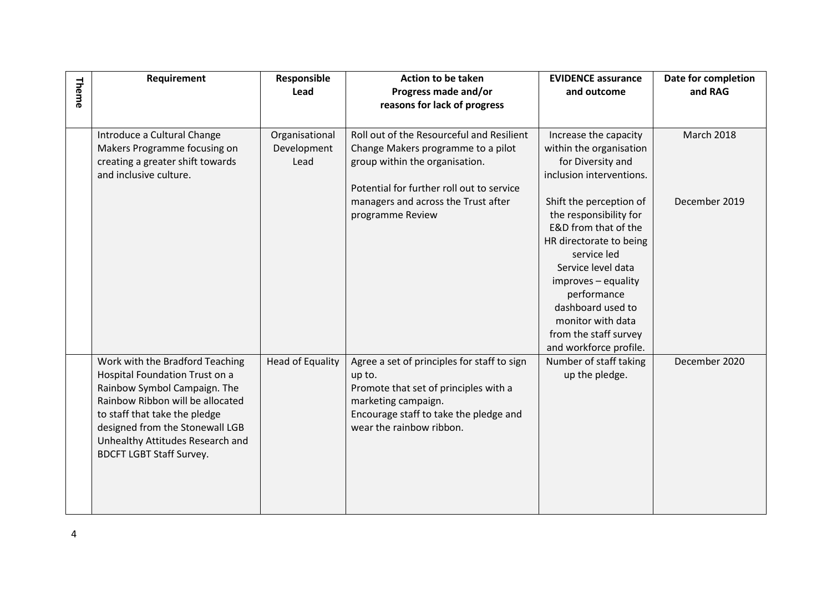| Theme | Requirement                                                                                                                                                                                                                                                                      | Responsible<br>Lead                   | <b>Action to be taken</b><br>Progress made and/or<br>reasons for lack of progress                                                                                                           | <b>EVIDENCE assurance</b><br>and outcome                                                                                                                                                                                                                                     | Date for completion<br>and RAG |
|-------|----------------------------------------------------------------------------------------------------------------------------------------------------------------------------------------------------------------------------------------------------------------------------------|---------------------------------------|---------------------------------------------------------------------------------------------------------------------------------------------------------------------------------------------|------------------------------------------------------------------------------------------------------------------------------------------------------------------------------------------------------------------------------------------------------------------------------|--------------------------------|
|       | Introduce a Cultural Change<br>Makers Programme focusing on<br>creating a greater shift towards<br>and inclusive culture.                                                                                                                                                        | Organisational<br>Development<br>Lead | Roll out of the Resourceful and Resilient<br>Change Makers programme to a pilot<br>group within the organisation.<br>Potential for further roll out to service                              | Increase the capacity<br>within the organisation<br>for Diversity and<br>inclusion interventions.                                                                                                                                                                            | <b>March 2018</b>              |
|       |                                                                                                                                                                                                                                                                                  |                                       | managers and across the Trust after<br>programme Review                                                                                                                                     | Shift the perception of<br>the responsibility for<br>E&D from that of the<br>HR directorate to being<br>service led<br>Service level data<br>improves - equality<br>performance<br>dashboard used to<br>monitor with data<br>from the staff survey<br>and workforce profile. | December 2019                  |
|       | Work with the Bradford Teaching<br>Hospital Foundation Trust on a<br>Rainbow Symbol Campaign. The<br>Rainbow Ribbon will be allocated<br>to staff that take the pledge<br>designed from the Stonewall LGB<br>Unhealthy Attitudes Research and<br><b>BDCFT LGBT Staff Survey.</b> | <b>Head of Equality</b>               | Agree a set of principles for staff to sign<br>up to.<br>Promote that set of principles with a<br>marketing campaign.<br>Encourage staff to take the pledge and<br>wear the rainbow ribbon. | Number of staff taking<br>up the pledge.                                                                                                                                                                                                                                     | December 2020                  |
| 4     |                                                                                                                                                                                                                                                                                  |                                       |                                                                                                                                                                                             |                                                                                                                                                                                                                                                                              |                                |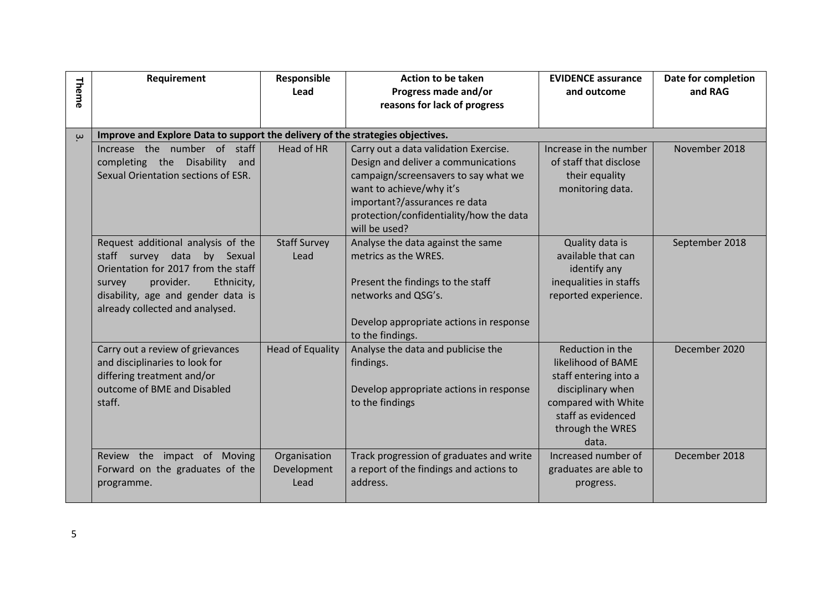|          | Requirement                                                                                                                                                                                                               | Responsible                         | <b>Action to be taken</b>                                                                                                                                                                                                                     | <b>EVIDENCE assurance</b>                                                                                                                                      | Date for completion |
|----------|---------------------------------------------------------------------------------------------------------------------------------------------------------------------------------------------------------------------------|-------------------------------------|-----------------------------------------------------------------------------------------------------------------------------------------------------------------------------------------------------------------------------------------------|----------------------------------------------------------------------------------------------------------------------------------------------------------------|---------------------|
| Theme    |                                                                                                                                                                                                                           | Lead                                | Progress made and/or<br>reasons for lack of progress                                                                                                                                                                                          | and outcome                                                                                                                                                    | and RAG             |
|          |                                                                                                                                                                                                                           |                                     |                                                                                                                                                                                                                                               |                                                                                                                                                                |                     |
| $\omega$ | Improve and Explore Data to support the delivery of the strategies objectives.                                                                                                                                            |                                     |                                                                                                                                                                                                                                               |                                                                                                                                                                |                     |
|          | Increase the number of staff<br>completing the Disability<br>and<br>Sexual Orientation sections of ESR.                                                                                                                   | <b>Head of HR</b>                   | Carry out a data validation Exercise.<br>Design and deliver a communications<br>campaign/screensavers to say what we<br>want to achieve/why it's<br>important?/assurances re data<br>protection/confidentiality/how the data<br>will be used? | Increase in the number<br>of staff that disclose<br>their equality<br>monitoring data.                                                                         | November 2018       |
|          | Request additional analysis of the<br>staff survey data<br>by Sexual<br>Orientation for 2017 from the staff<br>provider.<br>Ethnicity,<br>survey<br>disability, age and gender data is<br>already collected and analysed. | <b>Staff Survey</b><br>Lead         | Analyse the data against the same<br>metrics as the WRES.<br>Present the findings to the staff<br>networks and QSG's.<br>Develop appropriate actions in response<br>to the findings.                                                          | Quality data is<br>available that can<br>identify any<br>inequalities in staffs<br>reported experience.                                                        | September 2018      |
|          | Carry out a review of grievances<br>and disciplinaries to look for<br>differing treatment and/or<br>outcome of BME and Disabled<br>staff.                                                                                 | <b>Head of Equality</b>             | Analyse the data and publicise the<br>findings.<br>Develop appropriate actions in response<br>to the findings                                                                                                                                 | Reduction in the<br>likelihood of BAME<br>staff entering into a<br>disciplinary when<br>compared with White<br>staff as evidenced<br>through the WRES<br>data. | December 2020       |
|          | Review the impact of Moving<br>Forward on the graduates of the<br>programme.                                                                                                                                              | Organisation<br>Development<br>Lead | Track progression of graduates and write<br>a report of the findings and actions to<br>address.                                                                                                                                               | Increased number of<br>graduates are able to<br>progress.                                                                                                      | December 2018       |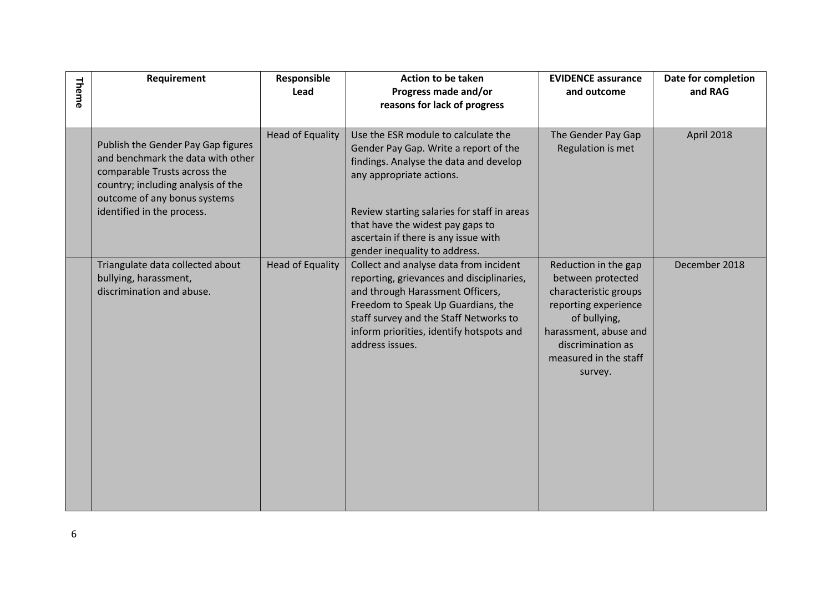| Theme | Requirement                                                                                                                                                                                                 | Responsible<br>Lead     | <b>Action to be taken</b><br>Progress made and/or                                                                                                                                                                                                                                                              | <b>EVIDENCE assurance</b><br>and outcome                                                                                                                                                     | Date for completion<br>and RAG |
|-------|-------------------------------------------------------------------------------------------------------------------------------------------------------------------------------------------------------------|-------------------------|----------------------------------------------------------------------------------------------------------------------------------------------------------------------------------------------------------------------------------------------------------------------------------------------------------------|----------------------------------------------------------------------------------------------------------------------------------------------------------------------------------------------|--------------------------------|
|       |                                                                                                                                                                                                             |                         | reasons for lack of progress                                                                                                                                                                                                                                                                                   |                                                                                                                                                                                              |                                |
|       | Publish the Gender Pay Gap figures<br>and benchmark the data with other<br>comparable Trusts across the<br>country; including analysis of the<br>outcome of any bonus systems<br>identified in the process. | Head of Equality        | Use the ESR module to calculate the<br>Gender Pay Gap. Write a report of the<br>findings. Analyse the data and develop<br>any appropriate actions.<br>Review starting salaries for staff in areas<br>that have the widest pay gaps to<br>ascertain if there is any issue with<br>gender inequality to address. | The Gender Pay Gap<br>Regulation is met                                                                                                                                                      | April 2018                     |
|       | Triangulate data collected about<br>bullying, harassment,<br>discrimination and abuse.                                                                                                                      | <b>Head of Equality</b> | Collect and analyse data from incident<br>reporting, grievances and disciplinaries,<br>and through Harassment Officers,<br>Freedom to Speak Up Guardians, the<br>staff survey and the Staff Networks to<br>inform priorities, identify hotspots and<br>address issues.                                         | Reduction in the gap<br>between protected<br>characteristic groups<br>reporting experience<br>of bullying,<br>harassment, abuse and<br>discrimination as<br>measured in the staff<br>survey. | December 2018                  |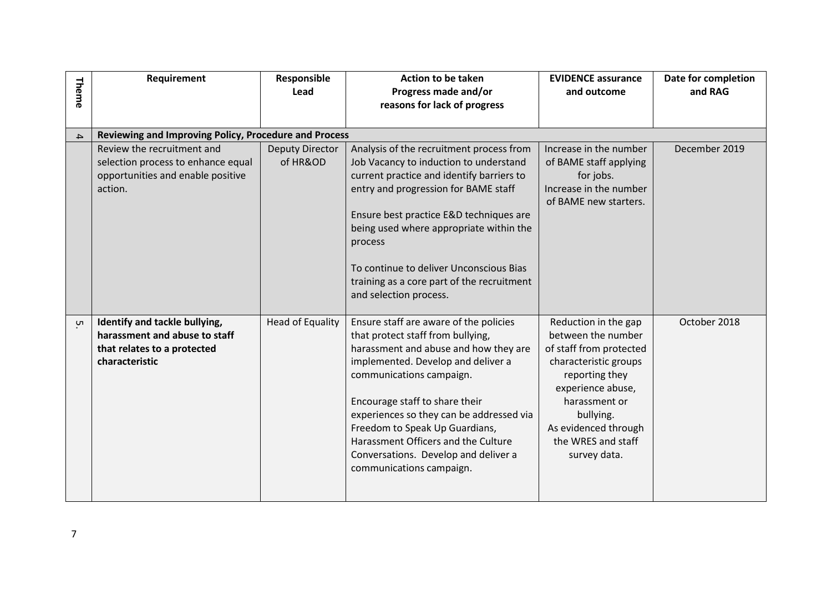| Theme         | Requirement                                                                                                      | Responsible<br>Lead                | <b>Action to be taken</b><br>Progress made and/or<br>reasons for lack of progress                                                                                                                                                                                                                                                                                                                                 | <b>EVIDENCE assurance</b><br>and outcome                                                                                                                                                                                          | Date for completion<br>and RAG |
|---------------|------------------------------------------------------------------------------------------------------------------|------------------------------------|-------------------------------------------------------------------------------------------------------------------------------------------------------------------------------------------------------------------------------------------------------------------------------------------------------------------------------------------------------------------------------------------------------------------|-----------------------------------------------------------------------------------------------------------------------------------------------------------------------------------------------------------------------------------|--------------------------------|
|               |                                                                                                                  |                                    |                                                                                                                                                                                                                                                                                                                                                                                                                   |                                                                                                                                                                                                                                   |                                |
| $\rightarrow$ | Reviewing and Improving Policy, Procedure and Process                                                            |                                    |                                                                                                                                                                                                                                                                                                                                                                                                                   |                                                                                                                                                                                                                                   |                                |
|               | Review the recruitment and<br>selection process to enhance equal<br>opportunities and enable positive<br>action. | <b>Deputy Director</b><br>of HR&OD | Analysis of the recruitment process from<br>Job Vacancy to induction to understand<br>current practice and identify barriers to<br>entry and progression for BAME staff<br>Ensure best practice E&D techniques are<br>being used where appropriate within the<br>process<br>To continue to deliver Unconscious Bias<br>training as a core part of the recruitment<br>and selection process.                       | Increase in the number<br>of BAME staff applying<br>for jobs.<br>Increase in the number<br>of BAME new starters.                                                                                                                  | December 2019                  |
| Uл            | Identify and tackle bullying,<br>harassment and abuse to staff<br>that relates to a protected<br>characteristic  | <b>Head of Equality</b>            | Ensure staff are aware of the policies<br>that protect staff from bullying,<br>harassment and abuse and how they are<br>implemented. Develop and deliver a<br>communications campaign.<br>Encourage staff to share their<br>experiences so they can be addressed via<br>Freedom to Speak Up Guardians,<br>Harassment Officers and the Culture<br>Conversations. Develop and deliver a<br>communications campaign. | Reduction in the gap<br>between the number<br>of staff from protected<br>characteristic groups<br>reporting they<br>experience abuse,<br>harassment or<br>bullying.<br>As evidenced through<br>the WRES and staff<br>survey data. | October 2018                   |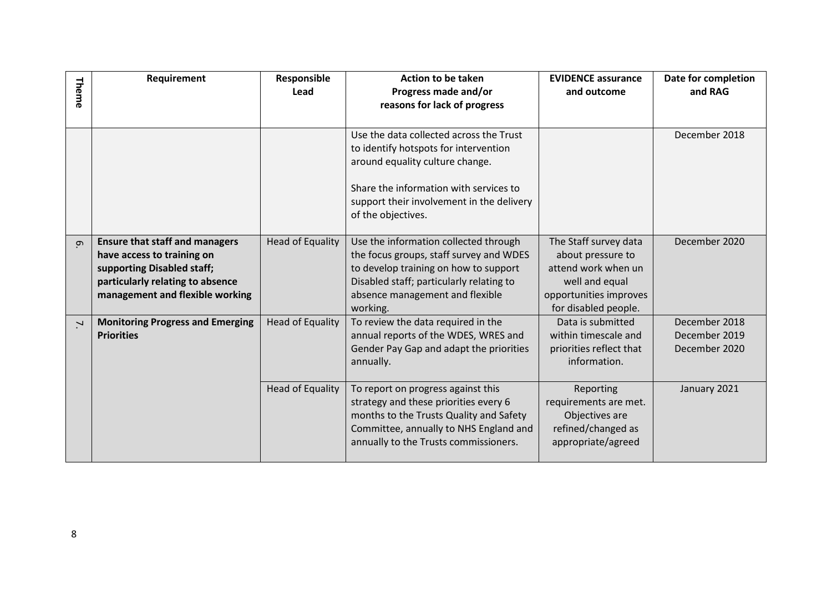|                          | Requirement                                                                                                                                                              | Responsible             | <b>Action to be taken</b>                                                                                                                                                                                  | <b>EVIDENCE assurance</b>                                                                                     | Date for completion                             |
|--------------------------|--------------------------------------------------------------------------------------------------------------------------------------------------------------------------|-------------------------|------------------------------------------------------------------------------------------------------------------------------------------------------------------------------------------------------------|---------------------------------------------------------------------------------------------------------------|-------------------------------------------------|
| Theme                    |                                                                                                                                                                          | Lead                    | Progress made and/or                                                                                                                                                                                       | and outcome                                                                                                   | and RAG                                         |
|                          |                                                                                                                                                                          |                         | reasons for lack of progress                                                                                                                                                                               |                                                                                                               |                                                 |
|                          |                                                                                                                                                                          |                         | Use the data collected across the Trust<br>to identify hotspots for intervention<br>around equality culture change.<br>Share the information with services to<br>support their involvement in the delivery |                                                                                                               | December 2018                                   |
|                          |                                                                                                                                                                          |                         | of the objectives.                                                                                                                                                                                         |                                                                                                               |                                                 |
| $\sigma$                 | <b>Ensure that staff and managers</b><br>have access to training on<br>supporting Disabled staff;<br>particularly relating to absence<br>management and flexible working | <b>Head of Equality</b> | Use the information collected through<br>the focus groups, staff survey and WDES<br>to develop training on how to support<br>Disabled staff; particularly relating to<br>absence management and flexible   | The Staff survey data<br>about pressure to<br>attend work when un<br>well and equal<br>opportunities improves | December 2020                                   |
|                          |                                                                                                                                                                          |                         | working.                                                                                                                                                                                                   | for disabled people.                                                                                          |                                                 |
| $\overline{\phantom{a}}$ | <b>Monitoring Progress and Emerging</b><br><b>Priorities</b>                                                                                                             | <b>Head of Equality</b> | To review the data required in the<br>annual reports of the WDES, WRES and<br>Gender Pay Gap and adapt the priorities<br>annually.                                                                         | Data is submitted<br>within timescale and<br>priorities reflect that<br>information.                          | December 2018<br>December 2019<br>December 2020 |
|                          |                                                                                                                                                                          | <b>Head of Equality</b> | To report on progress against this<br>strategy and these priorities every 6<br>months to the Trusts Quality and Safety<br>Committee, annually to NHS England and<br>annually to the Trusts commissioners.  | Reporting<br>requirements are met.<br>Objectives are<br>refined/changed as<br>appropriate/agreed              | January 2021                                    |